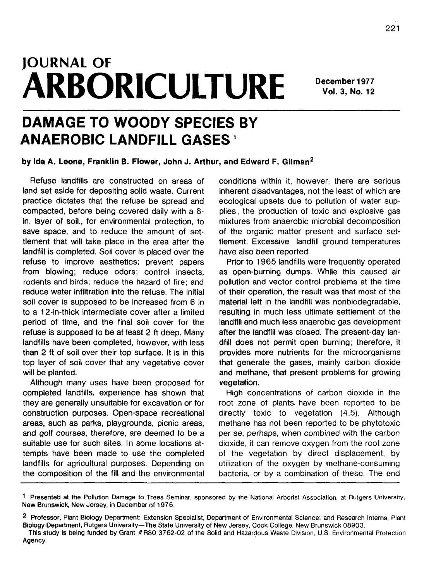# **JOURNAL OF ARBORICULTURE**

**December 1977 Vol. 3, No. 12**

# **DAMAGE TO WOODY SPECIES BY ANAEROBIC LANDFILL GASES<sup>1</sup>**

**by Ida A. Leone, Franklin B. Flower, John J. Arthur, and Edward F. Gilman<sup>2</sup>**

Refuse landfills are constructed on areas of land set aside for depositing solid waste. Current practice dictates that the refuse be spread and compacted, before being covered daily with a 6 in. layer of soil., for environmental protection, to save space, and to reduce the amount of settlement that will take place in the area after the landfill is completed. Soil cover is placed over the refuse to improve aesthetics; prevent papers from blowing; reduce odors; control insects, rodents and birds; reduce the hazard of fire; and reduce water infiltration into the refuse. The initial soil cover is supposed to be increased from 6 in to a 12-in-thick intermediate cover after a limited period of time, and the final soil cover for the refuse is supposed to be at least 2 ft deep. Many landfills have been completed, however, with less than 2 ft of soil over their top surface. It is in this top layer of soil cover that any vegetative cover will be planted.

Although many uses have been proposed for completed landfills, experience has shown that they are generally unsuitable for excavation or for construction purposes. Open-space recreational areas, such as parks, playgrounds, picnic areas, and golf courses, therefore, are deemed to be a suitable use for such sites. In some locations attempts have been made to use the completed landfills for agricultural purposes. Depending on the composition of the fill and the environmental conditions within it, however, there are serious inherent disadvantages, not the least of which are ecological upsets due to pollution of water supplies, the production of toxic and explosive gas mixtures from anaerobic microbial decomposition of the organic matter present and surface settlement. Excessive landfill ground temperatures have also been reported.

Prior to 1965 landfills were frequently operated as open-burning dumps. While this caused air pollution and vector control problems at the time of their operation, the result was that most of the material left in the landfill was nonbiodegradable, resulting in much less ultimate settlement of the landfill and much less anaerobic gas development after the landfill was closed. The present-day landfill does not permit open burning; therefore, it provides more nutrients for the microorganisms that generate the gases, mainly carbon dioxide and methane, that present problems for growing vegetation.

High concentrations of carbon dioxide in the root zone of plants, have been reported to be directly toxic to vegetation (4,5). Although methane has not been reported to be phytotoxic per se, perhaps, when combined with the carbon dioxide, it can remove oxygen from the root zone of the vegetation by direct displacement, by utilization of the oxygen by methane-consuming bacteria, or by a combination of these. The end

1 Presented at the Pollution Damage to Trees Seminar, sponsored by the National Arborist Association, at Rutgers University, New Brunswick, New Jersey, in December of 1976.

2 Professor, Plant Biology Department; Extension Specialist, Department of Environmental Science; and Research Interns, Plant Biology Department, Rutgers University—The State University of New Jersey, Cook College, New Brunswick 08903.

This study is being funded by Grant #R80 3762-02 of the Solid and Hazardous Waste Division, U.S. Environmental Protection Agency.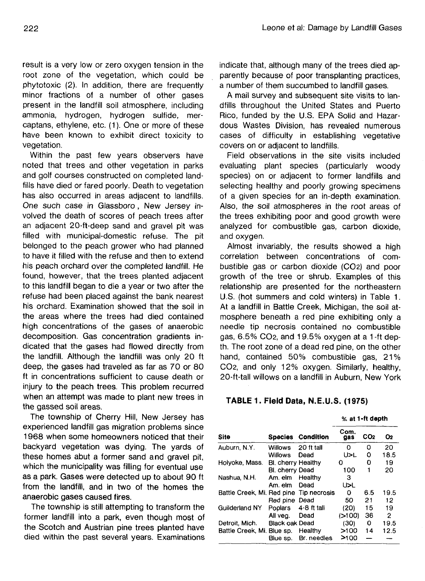result is a very low or zero oxygen tension in the root zone of the vegetation, which could be phytotoxic (2). In addition, there are frequently minor fractions of a number of other gases present in the landfill soil atmosphere, including ammonia, hydrogen, hydrogen sulfide, mercaptans, ethylene, etc. (1). One or more of these have been known to exhibit direct toxicity to vegetation.

Within the past few years observers have noted that trees and other vegetation in parks and golf courses constructed on completed landfills have died or fared poorly. Death to vegetation has also occurred in areas adjacent to landfills. One such case in Glassboro , New Jersey involved the death of scores of peach trees after an adjacent 20-ft-deep sand and gravel pit was filled with municipal-domestic refuse. The pit belonged to the peach grower who had planned to have it filled with the refuse and then to extend his peach orchard over the completed landfill. He found, however, that the trees planted adjacent to this landfill began to die a year or two after the refuse had been placed against the bank nearest his orchard. Examination showed that the soil in the areas where the trees had died contained high concentrations of the gases of anaerobic decomposition. Gas concentration gradients indicated that the gases had flowed directly from the landfill. Although the landfill was only 20 ft deep, the gases had traveled as far as 70 or 80 ft in concentrations sufficient to cause death or injury to the peach trees. This problem recurred when an attempt was made to plant new trees in the gassed soil areas.

The township of Cherry Hill, New Jersey has experienced landfill gas migration problems since 1968 when some homeowners noticed that their backyard vegetation was dying. The yards of these homes abut a former sand and gravel pit, which the municipality was filling for eventual use as a park. Gases were detected up to about 90 ft from the landfill, and in two of the homes the anaerobic gases caused fires.

The township is still attempting to transform the former landfill into a park, even though most of the Scotch and Austrian pine trees planted have died within the past several years. Examinations

indicate that, although many of the trees died apparently because of poor transplanting practices, a number of them succumbed to landfill gases.

A mail survey and subsequent site visits to landfills throughout the United States and Puerto Rico, funded by the U.S. EPA Solid and Hazardous Wastes Division, has revealed numerous cases of difficulty in establishing vegetative covers on or adjacent to landfills.

Field observations in the site visits included evaluating plant species (particularly woody species) on or adjacent to former landfills and selecting healthy and poorly growing specimens of a given species for an in-depth examination. Also, the soil atmospheres in the root areas of the trees exhibiting poor and good growth were analyzed for combustible gas, carbon dioxide, and oxygen.

Almost invariably, the results showed a high correlation between concentrations of combustible gas or carbon dioxide (CO2) and poor growth of the tree or shrub. Examples of this relationship are presented for the northeastern U.S. (hot summers and cold winters) in Table 1. At a landfill in Battle Creek, Michigan, the soil atmosphere beneath a red pine exhibiting only a needle tip necrosis contained no combustible gas, 6.5% CO2, and 19.5% oxygen at a 1 -ft depth. The root zone of a dead red pine, on the other hand, contained 50% combustible gas, 21% CO2, and only 12% oxygen. Similarly, healthy, 20-ft-tall willows on a landfill in Auburn, New York

#### **TABLE 1. Field Data, N.E.U.S. (1975)**

|                                         |                       |                          | % at 1-ft depth |                 |      |
|-----------------------------------------|-----------------------|--------------------------|-----------------|-----------------|------|
| Site                                    |                       | <b>Species Condition</b> | Com.<br>gas     | CO <sub>2</sub> | O2   |
| Auburn, N.Y.                            | Willows               | 20 ft tall               | 0               | 0               | 20   |
|                                         | <b>Willows</b>        | Dead                     | U>L             | 0               | 18.5 |
| Holyoke, Mass.                          | BI, cherry Healthy    |                          | 0               | 0               | 19   |
|                                         | Bl. cherry Dead       |                          | 100             | 1               | 20   |
| Nashua, N.H.                            | Am. elm               | Healthy                  | з               |                 |      |
|                                         | Am. elm               | Dead                     | U>L             |                 |      |
| Battle Creek, Mi. Red pine Tip necrosis |                       |                          | 0               | 6.5             | 19.5 |
|                                         | Red pine Dead         |                          | 50              | 21              | 12   |
| Guilderland NY                          | <b>Poplars</b>        | $4-8$ ft tall            | (20)            | 15              | 19   |
|                                         | All vea.              | Dead                     | (>100)          | 36              | 2    |
| Detroit, Mich.                          | <b>Black oak Dead</b> |                          | (30)            | 0               | 19.5 |
| Battle Creek, Mi. Blue sp.              |                       | Healthy                  | >100            | 14              | 12.5 |
|                                         | Blue sp.              | Br. needles              | >100            |                 |      |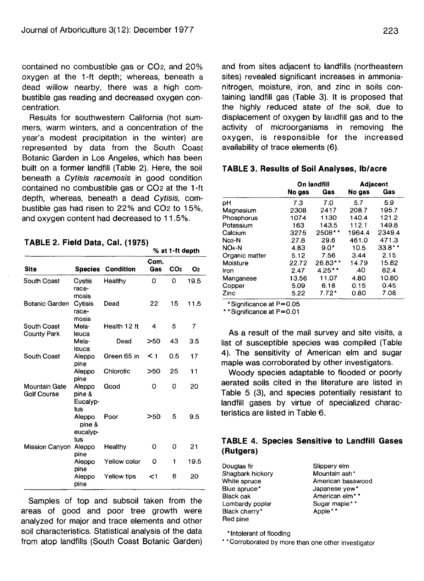contained no combustible gas or CO2, and 20% oxygen at the 1 **-ft** depth; whereas, beneath a dead willow nearby, there was a high combustible gas reading and decreased oxygen concentration.

Results for southwestern California (hot summers, warm winters, and a concentration of the year's modest precipitation in the winter) are represented by data from the South Coast Botanic Garden in Los Angeles, which has been built on a former landfill (Table 2). Here, the soil beneath a Cytisis racemosis in good condition contained no combustible gas or CO2 at the 1 -ft depth, whereas, beneath a dead Cytisis, combustible gas had risen to 22% and CO2 to 15%, and oxygen content had decreased to 11.5%.

#### **TABLE 2. Field Data, Cal. (1975)**

|                                     |                                     |              |             | % at 1-ft depth |                |
|-------------------------------------|-------------------------------------|--------------|-------------|-----------------|----------------|
| Site                                | <b>Species</b>                      | Condition    | Com.<br>Gas | CO <sub>2</sub> | O <sub>2</sub> |
| South Coast                         | Cystis<br>race-<br>mosis            | Healthy      | 0           | 0               | 19.5           |
| <b>Botanic Garden</b>               | Cytisis<br>race-<br>mosis           | Dead         | 22          | 15              | 11.5           |
| South Coast<br>County Park          | Mela-<br>leuca                      | Health 12 ft | 4           | 5               | 7              |
|                                     | Mela-<br>leuca                      | Dead         | >50         | 43              | 3.5            |
| South Coast                         | Aleppo<br>pine                      | Green 65 in  | $\leq$ 1    | 0.5             | 17             |
|                                     | Aleppo<br>pine                      | Chlorotic    | >50         | 25              | 11             |
| Mountain Gate<br><b>Golf Course</b> | Aleppo<br>pine &<br>Eucalvp-<br>tus | Good         | 0           | 0               | 20             |
|                                     | Aleppo<br>pine &<br>eucalyp-<br>tus | Poor         | >50         | 5               | 9.5            |
| Mission Canyon                      | Aleppo<br>pine                      | Healthy      | 0           | 0               | 21             |
|                                     | Aleppo<br>pine                      | Yellow color | ٥           | 1               | 19.5           |
|                                     | Aleppo<br>pine                      | Yellow tips  | <1          | 6               | 20             |

Samples of top and subsoil taken from the areas of good and poor tree growth were analyzed for major and trace elements and other soil characteristics. Statistical analysis of the data from atop landfills (South Coast Botanic Garden) and from sites adjacent to landfills (northeastern sites) revealed significant increases in ammonianitrogen, moisture, iron, and zinc in soils containing landfill gas (Table 3). It is proposed that the highly reduced state of the soil, due to displacement of oxygen by landfill gas and to the activity of microorganisms in removing the oxygen, is responsible for the increased availability of trace elements (6).

#### **TABLE 3. Results of Soil Analyses, Ib/acre**

|                | On landfill |           | Adjacent |          |
|----------------|-------------|-----------|----------|----------|
|                | No gas      | Gas       | No gas   | Gas      |
| pН             | 7.3         | 7.0       | 5.7      | 5.9      |
| Magnesium      | 2308        | 2417      | 208.7    | 195.7    |
| Phosphorus     | 1074        | 1130      | 140.4    | 121.2    |
| Potassium      | 163         | 143.5     | 112.1    | 149.8    |
| Calcium        | 3275        | 2508*     | 1964.4   | 2349.4   |
| $No3-N$        | 27.8        | 29.6      | 461.0    | 471.3    |
| $NO4-N$        | 4.83        | $9.0*$    | 10.5     | $33.8**$ |
| Organic matter | 5.12        | 7.56      | 3.44     | 2.15     |
| Moisture       | 22.72       | $26.83**$ | 14.79    | 15.82    |
| Iron           | 2.47        | $4.25**$  | .40      | 62.4     |
| Manganese      | 13.56       | 11.07     | 4.80     | 10.80    |
| Copper         | 5.09        | 6.18      | 0.15     | 0.45     |
| Zinc           | 5.22        | $7.72*$   | 0.80     | 7.08     |

•Significance at P=0.05

\*\*SignificanceatP=0.01

As a result of the mail survey and site visits, a list of susceptible species was compiled (Table 4). The sensitivity of American elm and sugar maple was corroborated by other investigators.

Woody species adaptable to flooded or poorly aerated soils cited in the literature are listed in Table 5 (3), and species potentially resistant to landfill gases by virtue of specialized characteristics are listed in Table 6.

# **TABLE 4. Species Sensitive to Landfill Gases (Rutgers)**

Douglas fir Shagbark hickory White spruce Blue spruce\* Black oak Lombardy poplar Black cherry\* Red pine

Slippery elm Mountain ash\* American basswood Japanese yew\* American elm\*\* Sugar maple\* \* Apple\*\*

\* Intolerant of flooding

\* \* Corroborated by more than one other investigator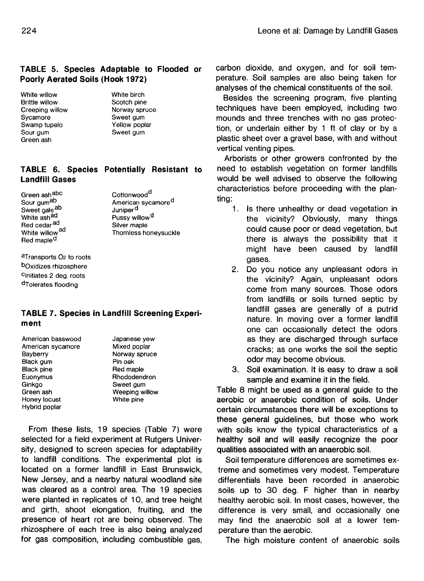# **TABLE 5. Species Adaptable to Flooded or Poorly Aerated Soils (Hook 1972)**

White willow Brittle willow Creeping willow **Sycamore** Swamp tupelo Sour gum Green ash

White birch Scotch pine Norway spruce Sweet gum Yellow poplar Sweet gum

## **TABLE 6. Species Potentially Resistant to Landfill Gases**

Green ashabc Sour gum<sup>ab</sup> Sweet galeab White ash<sup>ad</sup> Red cedar<sup>ad</sup> White willow<sup>ad</sup> Red maple<sup>d</sup>

Cottonwood<sup>d</sup> American sycamore<sup>d</sup> Juniper<sup>d</sup> Pussy willow<sup>d</sup> Silver maple Thornless honeysuckle

aTransports O<sub>2</sub> to roots bOxidizes rhizosphere c lnitiates 2 deg. roots d Tolerates flooding

#### **TABLE 7. Species in Landfill Screening Experiment**

American basswood American sycamore **Bayberry** Black gum Black pine Euonymus Ginkgo Green ash Honey locust Hybrid poplar

Japanese yew Mixed poplar Norway spruce Pin oak Red maple Rhododendron Sweet gum Weeping willow White pine

From these lists, 19 species (Table 7) were selected for a field experiment at Rutgers University, designed to screen species for adaptability to landfill conditions. The experimental plot is located on a former landfill in East Brunswick, New Jersey, and a nearby natural woodland site was cleared as a control area. The 19 species were planted in replicates of 10, and tree height and girth, shoot elongation, fruiting, and the presence of heart rot are being observed. The rhizosphere of each tree is also being analyzed for gas composition, including combustible gas,

carbon dioxide, and oxygen, and for soil temperature. Soil samples are also being taken for analyses of the chemical constituents of the soil.

Besides the screening program, five planting techniques have been employed, including two mounds and three trenches with no gas protection, or underlain either by 1 ft of clay or by a plastic sheet over a gravel base, with and without vertical venting pipes.

Arborists or other growers confronted by the need to establish vegetation on former landfills would be well advised to observe the following characteristics before proceeding with the planting:

- 1. Is there unhealthy or dead vegetation in the vicinity? Obviously, many things could cause poor or dead vegetation, but there is always the possibility that it might have been caused by landfill gases.
- 2. Do you notice any unpleasant odors in the vicinity? Again, unpleasant odors come from many sources. Those odors from landfills or soils turned septic by landfill gases are generally of a putrid nature. In moving over a former landfill one can occasionally detect the odors as they are discharged through surface cracks; as one works the soil the septic odor may become obvious.
- 3. Soil examination. It is easy to draw a soil sample and examine it in the field.

Table 8 might be used as a general guide to the aerobic or anaerobic condition of soils. Under certain circumstances there will be exceptions to these general guidelines, but those who work with soils know the typical characteristics of a healthy soil and will easily recognize the poor qualities associated with an anaerobic soil.

Soil temperature differences are sometimes extreme and sometimes very modest. Temperature differentials have been recorded in anaerobic soils up to 30 deg. F higher than in nearby healthy aerobic soil. In most cases, however, the difference is very small, and occasionally one may find the anaerobic soil at a lower temperature than the aerobic.

The high moisture content of anaerobic soils